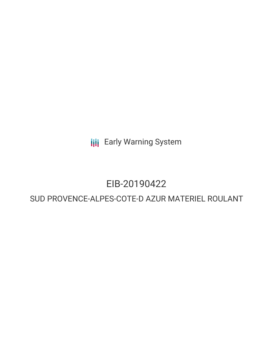**III** Early Warning System

# EIB-20190422

## SUD PROVENCE-ALPES-COTE-D AZUR MATERIEL ROULANT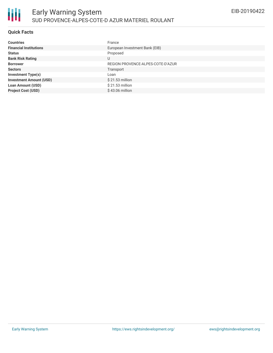### **Quick Facts**

| <b>Countries</b>               | France                            |
|--------------------------------|-----------------------------------|
| <b>Financial Institutions</b>  | European Investment Bank (EIB)    |
| <b>Status</b>                  | Proposed                          |
| <b>Bank Risk Rating</b>        | U                                 |
| <b>Borrower</b>                | REGION PROVENCE-ALPES-COTE-D'AZUR |
| <b>Sectors</b>                 | Transport                         |
| <b>Investment Type(s)</b>      | Loan                              |
| <b>Investment Amount (USD)</b> | $$21.53$ million                  |
| <b>Loan Amount (USD)</b>       | \$21.53 million                   |
| <b>Project Cost (USD)</b>      | $$43.06$ million                  |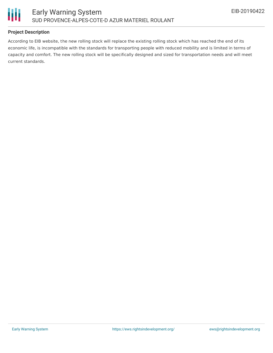

### **Project Description**

According to EIB website, the new rolling stock will replace the existing rolling stock which has reached the end of its economic life, is incompatible with the standards for transporting people with reduced mobility and is limited in terms of capacity and comfort. The new rolling stock will be specifically designed and sized for transportation needs and will meet current standards.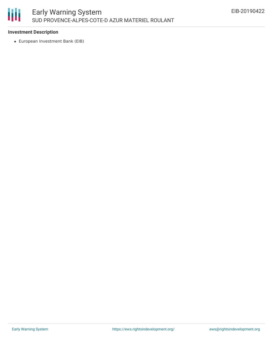

#### **Investment Description**

European Investment Bank (EIB)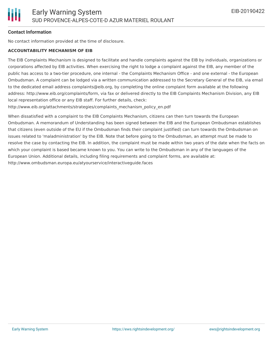#### **Contact Information**

No contact information provided at the time of disclosure.

#### **ACCOUNTABILITY MECHANISM OF EIB**

The EIB Complaints Mechanism is designed to facilitate and handle complaints against the EIB by individuals, organizations or corporations affected by EIB activities. When exercising the right to lodge a complaint against the EIB, any member of the public has access to a two-tier procedure, one internal - the Complaints Mechanism Office - and one external - the European Ombudsman. A complaint can be lodged via a written communication addressed to the Secretary General of the EIB, via email to the dedicated email address complaints@eib.org, by completing the online complaint form available at the following address: http://www.eib.org/complaints/form, via fax or delivered directly to the EIB Complaints Mechanism Division, any EIB local representation office or any EIB staff. For further details, check:

http://www.eib.org/attachments/strategies/complaints\_mechanism\_policy\_en.pdf

When dissatisfied with a complaint to the EIB Complaints Mechanism, citizens can then turn towards the European Ombudsman. A memorandum of Understanding has been signed between the EIB and the European Ombudsman establishes that citizens (even outside of the EU if the Ombudsman finds their complaint justified) can turn towards the Ombudsman on issues related to 'maladministration' by the EIB. Note that before going to the Ombudsman, an attempt must be made to resolve the case by contacting the EIB. In addition, the complaint must be made within two years of the date when the facts on which your complaint is based became known to you. You can write to the Ombudsman in any of the languages of the European Union. Additional details, including filing requirements and complaint forms, are available at: http://www.ombudsman.europa.eu/atyourservice/interactiveguide.faces